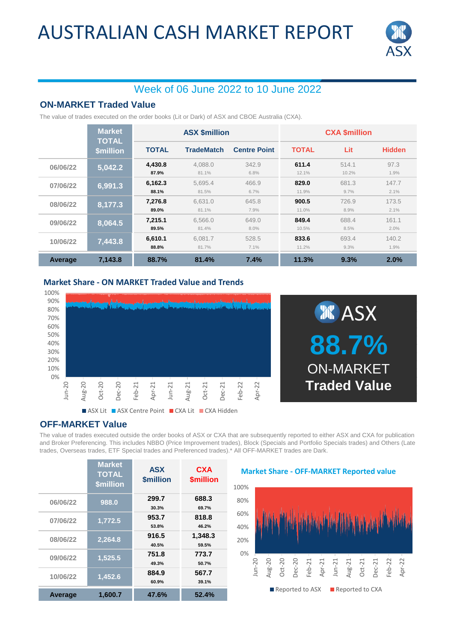# AUSTRALIAN CASH MARKET REPORT



## Week of 06 June 2022 to 10 June 2022

### **ON-MARKET Traded Value**

The value of trades executed on the order books (Lit or Dark) of ASX and CBOE Australia (CXA).

|          | <b>Market</b><br><b>TOTAL</b> | <b>ASX \$million</b> |                   |                     | <b>CXA \$million</b> |                |               |
|----------|-------------------------------|----------------------|-------------------|---------------------|----------------------|----------------|---------------|
|          | <b>\$million</b>              | <b>TOTAL</b>         | <b>TradeMatch</b> | <b>Centre Point</b> | <b>TOTAL</b>         | Lit            | <b>Hidden</b> |
| 06/06/22 | 5,042.2                       | 4,430.8<br>87.9%     | 4.088.0<br>81.1%  | 342.9<br>6.8%       | 611.4<br>12.1%       | 514.1<br>10.2% | 97.3<br>1.9%  |
| 07/06/22 | 6,991.3                       | 6.162.3<br>88.1%     | 5.695.4<br>81.5%  | 466.9<br>6.7%       | 829.0<br>11.9%       | 681.3<br>9.7%  | 147.7<br>2.1% |
| 08/06/22 | 8,177.3                       | 7,276.8<br>89.0%     | 6.631.0<br>81.1%  | 645.8<br>7.9%       | 900.5<br>11.0%       | 726.9<br>8.9%  | 173.5<br>2.1% |
| 09/06/22 | 8,064.5                       | 7,215.1<br>89.5%     | 6,566.0<br>81.4%  | 649.0<br>8.0%       | 849.4<br>10.5%       | 688.4<br>8.5%  | 161.1<br>2.0% |
| 10/06/22 | 7,443.8                       | 6,610.1<br>88.8%     | 6.081.7<br>81.7%  | 528.5<br>7.1%       | 833.6<br>11.2%       | 693.4<br>9.3%  | 140.2<br>1.9% |
| Average  | 7,143.8                       | 88.7%                | 81.4%             | 7.4%                | 11.3%                | 9.3%           | 2.0%          |

#### **Market Share - ON MARKET Traded Value and Trends**





### **OFF-MARKET Value**

The value of trades executed outside the order books of ASX or CXA that are subsequently reported to either ASX and CXA for publication and Broker Preferencing. This includes NBBO (Price Improvement trades), Block (Specials and Portfolio Specials trades) and Others (Late trades, Overseas trades, ETF Special trades and Preferenced trades).\* All OFF-MARKET trades are Dark.

|          | <b>Market</b><br><b>TOTAL</b><br><b>\$million</b> | <b>ASX</b><br><b>\$million</b> | <b>CXA</b><br><b><i><u>Smillion</u></i></b> |
|----------|---------------------------------------------------|--------------------------------|---------------------------------------------|
| 06/06/22 | 988.0                                             | 299.7<br>30.3%                 | 688.3<br>69.7%                              |
| 07/06/22 | 1,772.5                                           | 953.7<br>53.8%                 | 818.8<br>46.2%                              |
| 08/06/22 | 2,264.8                                           | 916.5<br>40.5%                 | 1,348.3<br>59.5%                            |
| 09/06/22 | 1,525.5                                           | 751.8<br>49.3%                 | 773.7<br>50.7%                              |
| 10/06/22 | 1,452.6                                           | 884.9<br>60.9%                 | 567.7<br>39.1%                              |
| Average  | 1,600.7                                           | 47.6%                          | 52.4%                                       |

#### **Market Share - OFF-MARKET Reported value**